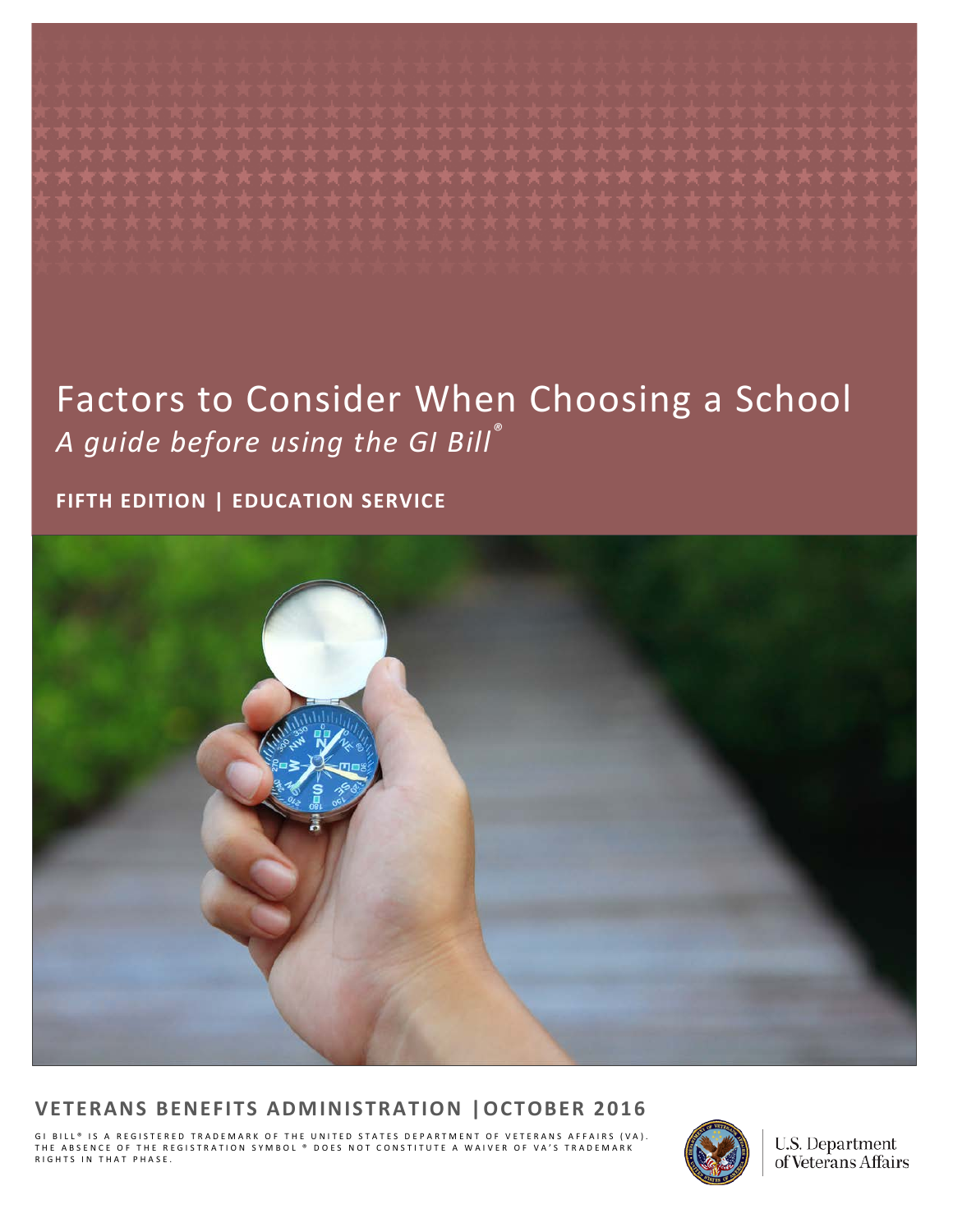# Factors to Consider When Choosing a School *A guide before using the GI Bill ®*

#### **FIFTH EDITION | EDUCATION SERVICE**



#### **VETERANS BENEFITS ADMINISTRATION |OCTOBER 2016**

GI BILL® IS A REGISTERED TRADEMARK OF THE UNITED STATES DEPARTMENT OF VETERANS AFFAIRS (VA).<br>THE ABSENCE OF THE REGISTRATION SYMBOL ® DOES NOT CONSTITUTE A WAIVER OF VA'S TRADEMARK<br>RIGHTS IN THAT PHASE.



U.S. Department of Veterans Affairs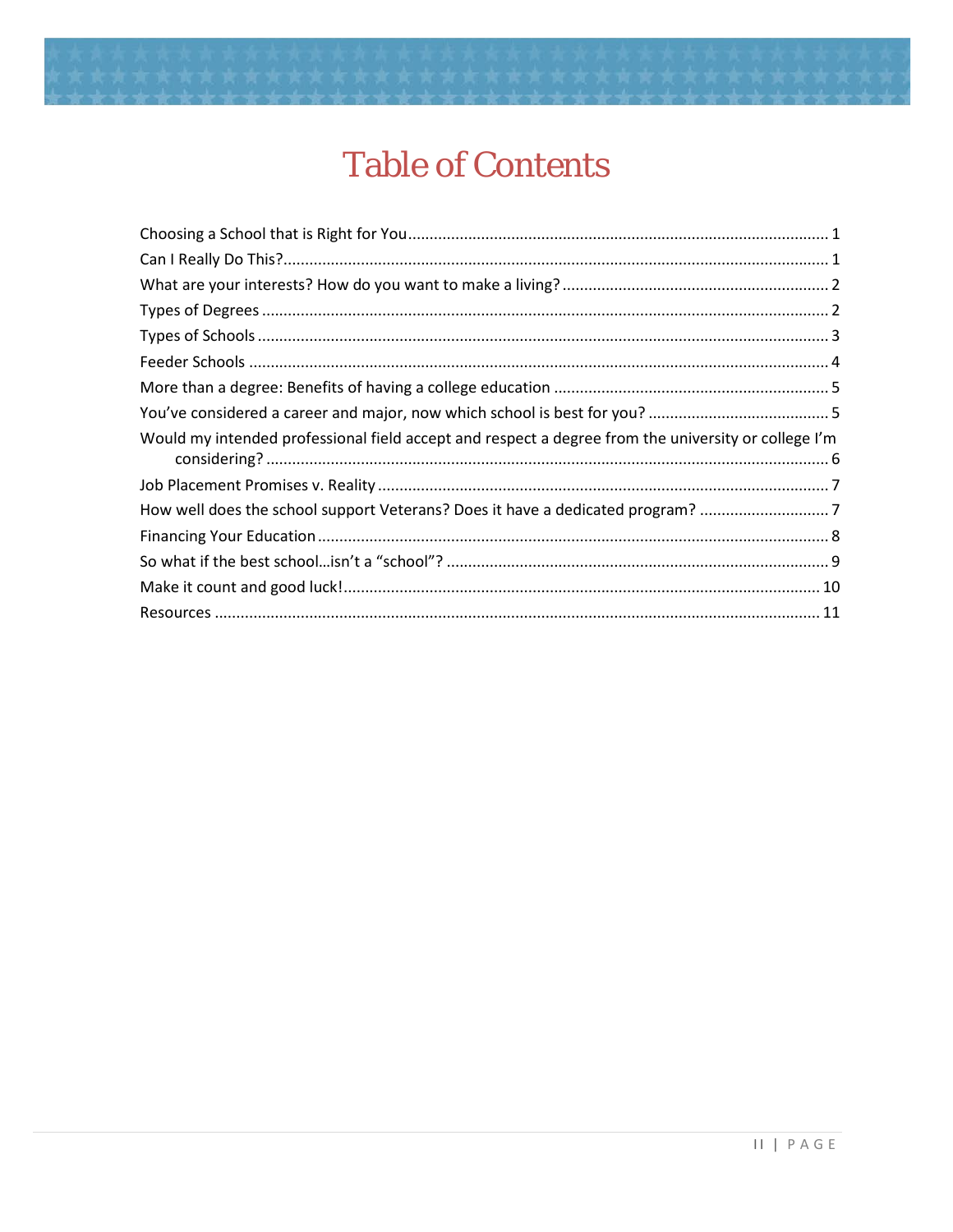

# **Table of Contents**

| Would my intended professional field accept and respect a degree from the university or college I'm |
|-----------------------------------------------------------------------------------------------------|
|                                                                                                     |
| How well does the school support Veterans? Does it have a dedicated program? 7                      |
|                                                                                                     |
|                                                                                                     |
|                                                                                                     |
|                                                                                                     |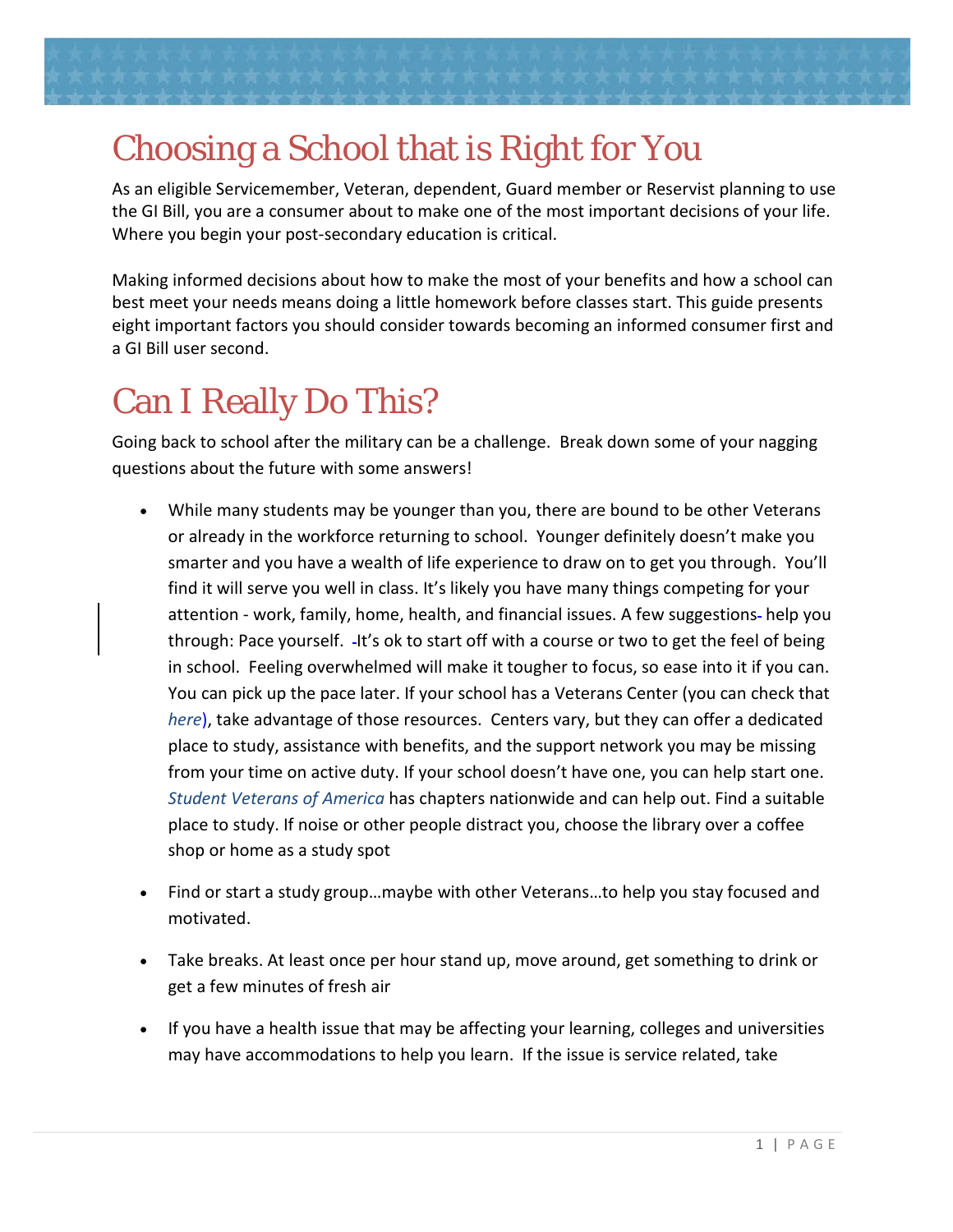<span id="page-2-0"></span>

As an eligible Servicemember, Veteran, dependent, Guard member or Reservist planning to use the GI Bill, you are a consumer about to make one of the most important decisions of your life. Where you begin your post-secondary education is critical.

Making informed decisions about how to make the most of your benefits and how a school can best meet your needs means doing a little homework before classes start. This guide presents eight important factors you should consider towards becoming an informed consumer first and a GI Bill user second.

# <span id="page-2-1"></span>Can I Really Do This?

Going back to school after the military can be a challenge. Break down some of your nagging questions about the future with some answers!

- While many students may be younger than you, there are bound to be other Veterans or already in the workforce returning to school. Younger definitely doesn't make you smarter and you have a wealth of life experience to draw on to get you through. You'll find it will serve you well in class. It's likely you have many things competing for your attention - work, family, home, health, and financial issues. A few suggestions-help you through: Pace yourself. - It's ok to start off with a course or two to get the feel of being in school. Feeling overwhelmed will make it tougher to focus, so ease into it if you can. You can pick up the pace later. If your school has a Veterans Center (you can check that *[here](https://www.vets.gov/gi-bill-comparison-tool)*), take advantage of those resources. Centers vary, but they can offer a dedicated place to study, assistance with benefits, and the support network you may be missing from your time on active duty. If your school doesn't have one, you can help start one. *[Student Veterans of America](http://studentveterans.org/)* has chapters nationwide and can help out. Find a suitable place to study. If noise or other people distract you, choose the library over a coffee shop or home as a study spot
- Find or start a study group…maybe with other Veterans…to help you stay focused and motivated.
- Take breaks. At least once per hour stand up, move around, get something to drink or get a few minutes of fresh air
- If you have a health issue that may be affecting your learning, colleges and universities may have accommodations to help you learn. If the issue is service related, take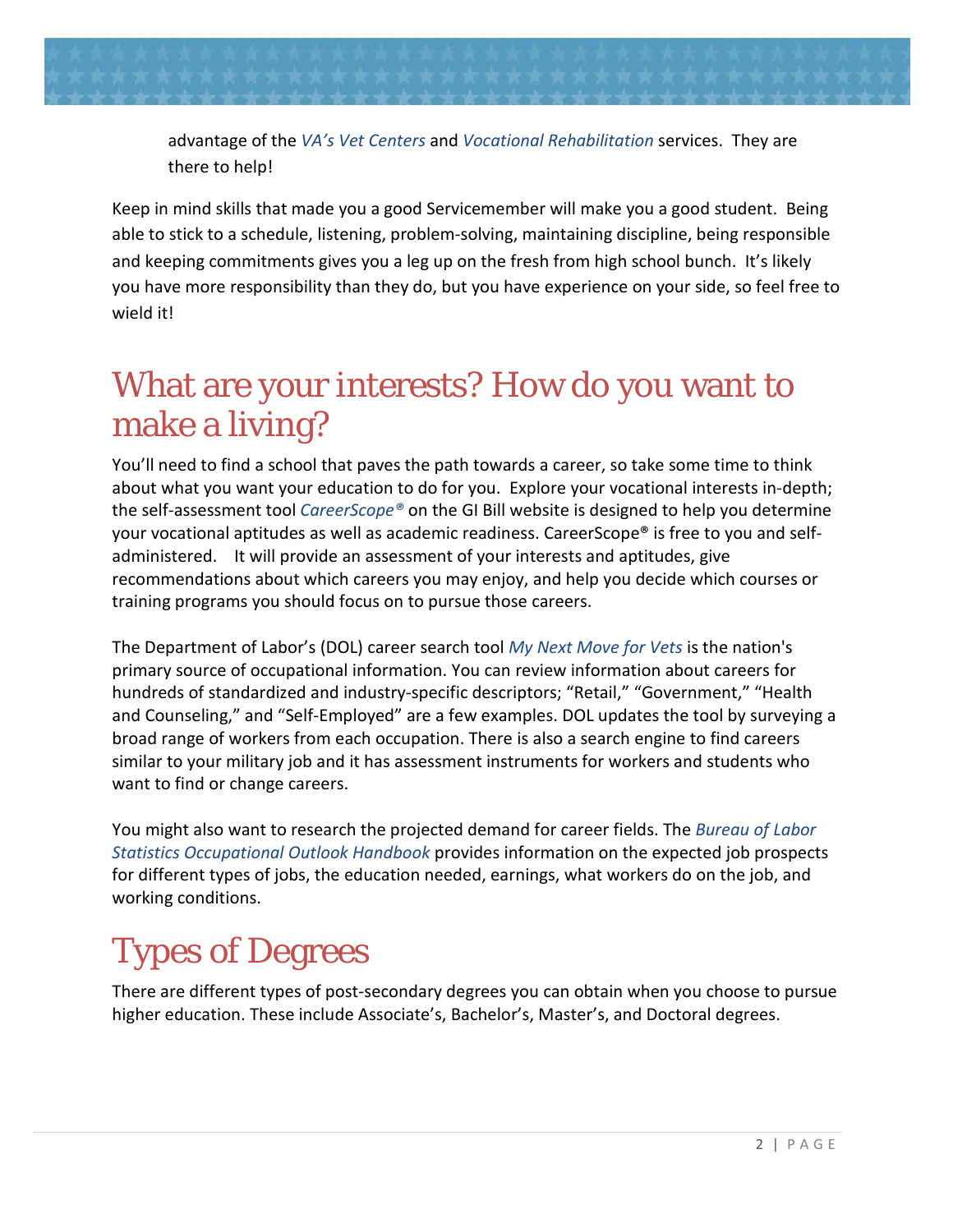

advantage of the *[VA's Vet Centers](http://www.vetcenter.va.gov/)* and *[Vocational Rehabilitation](http://www.benefits.va.gov/vocrehab/)* services. They are there to help!

Keep in mind skills that made you a good Servicemember will make you a good student. Being able to stick to a schedule, listening, problem-solving, maintaining discipline, being responsible and keeping commitments gives you a leg up on the fresh from high school bunch. It's likely you have more responsibility than they do, but you have experience on your side, so feel free to wield it!

# <span id="page-3-0"></span>What are your interests? How do you want to make a living?

You'll need to find a school that paves the path towards a career, so take some time to think about what you want your education to do for you. Explore your vocational interests in-depth; the self-assessment tool *[CareerScope®](http://www.benefits.va.gov/gibill/careerscope.asp)* on the GI Bill website is designed to help you determine your vocational aptitudes as well as academic readiness. CareerScope® is free to you and selfadministered. It will provide an assessment of your interests and aptitudes, give recommendations about which careers you may enjoy, and help you decide which courses or training programs you should focus on to pursue those careers.

The Department of Labor's (DOL) career search tool *[My Next Move for Vets](http://www.mynextmove.org/vets/)* is the nation's primary source of occupational information. You can review information about careers for hundreds of standardized and industry-specific descriptors; "Retail," "Government," "Health and Counseling," and "Self-Employed" are a few examples. DOL updates the tool by surveying a broad range of workers from each occupation. There is also a search engine to find careers similar to your military job and it has assessment instruments for workers and students who want to find or change careers.

You might also want to research the projected demand for career fields. The *[Bureau of Labor](http://www.bls.gov/ooh/)  [Statistics Occupational Outlook Handbook](http://www.bls.gov/ooh/)* provides information on the expected job prospects for different types of jobs, the education needed, earnings, what workers do on the job, and working conditions.

# <span id="page-3-1"></span>Types of Degrees

There are different types of post-secondary degrees you can obtain when you choose to pursue higher education. These include Associate's, Bachelor's, Master's, and Doctoral degrees.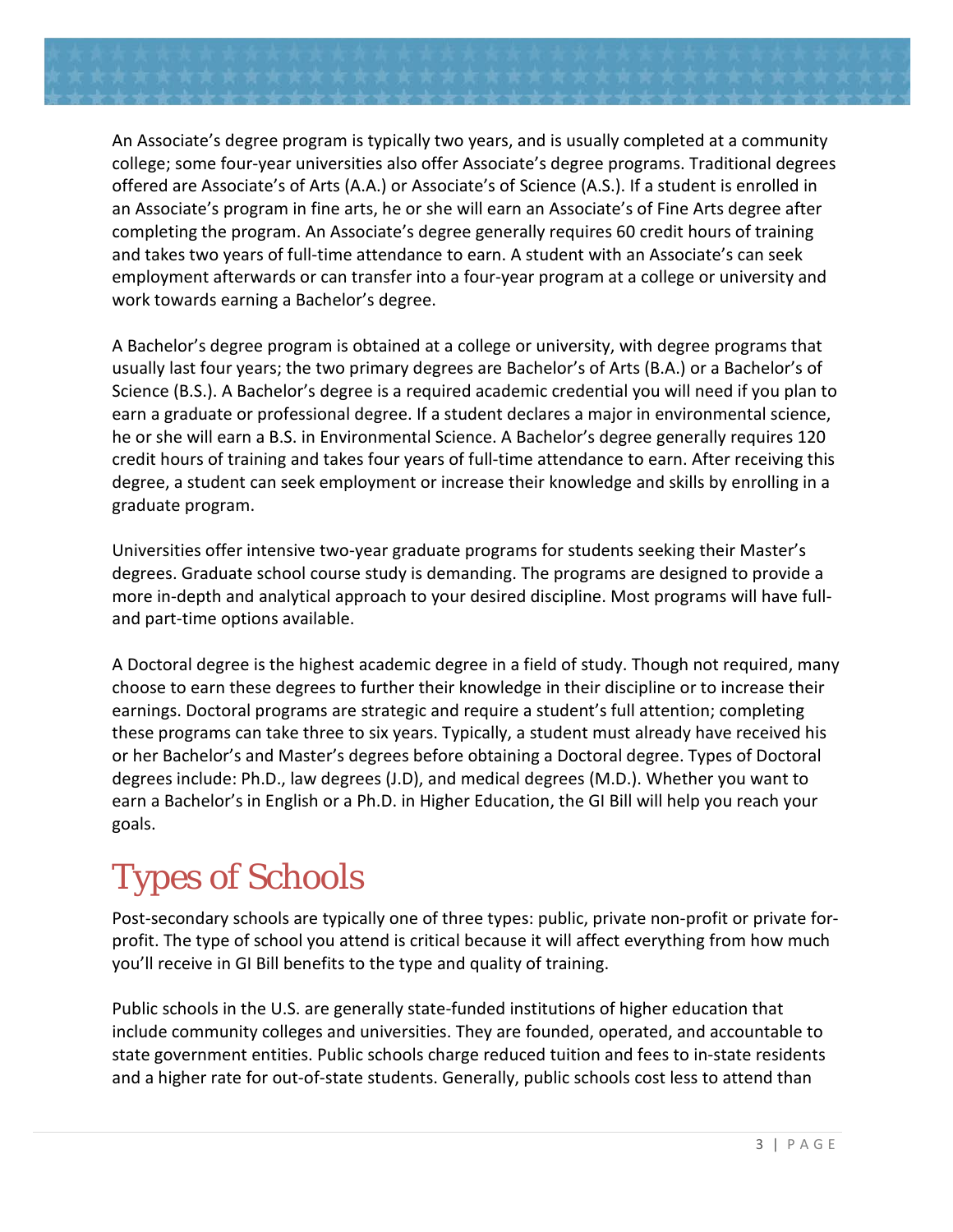

An Associate's degree program is typically two years, and is usually completed at a community college; some four-year universities also offer Associate's degree programs. Traditional degrees offered are Associate's of Arts (A.A.) or Associate's of Science (A.S.). If a student is enrolled in an Associate's program in fine arts, he or she will earn an Associate's of Fine Arts degree after completing the program. An Associate's degree generally requires 60 credit hours of training and takes two years of full-time attendance to earn. A student with an Associate's can seek employment afterwards or can transfer into a four-year program at a college or university and work towards earning a Bachelor's degree.

A Bachelor's degree program is obtained at a college or university, with degree programs that usually last four years; the two primary degrees are Bachelor's of Arts (B.A.) or a Bachelor's of Science (B.S.). A Bachelor's degree is a required academic credential you will need if you plan to earn a graduate or professional degree. If a student declares a major in environmental science, he or she will earn a B.S. in Environmental Science. A Bachelor's degree generally requires 120 credit hours of training and takes four years of full-time attendance to earn. After receiving this degree, a student can seek employment or increase their knowledge and skills by enrolling in a graduate program.

Universities offer intensive two-year graduate programs for students seeking their Master's degrees. Graduate school course study is demanding. The programs are designed to provide a more in-depth and analytical approach to your desired discipline. Most programs will have fulland part-time options available.

A Doctoral degree is the highest academic degree in a field of study. Though not required, many choose to earn these degrees to further their knowledge in their discipline or to increase their earnings. Doctoral programs are strategic and require a student's full attention; completing these programs can take three to six years. Typically, a student must already have received his or her Bachelor's and Master's degrees before obtaining a Doctoral degree. Types of Doctoral degrees include: Ph.D., law degrees (J.D), and medical degrees (M.D.). Whether you want to earn a Bachelor's in English or a Ph.D. in Higher Education, the GI Bill will help you reach your goals.

# <span id="page-4-0"></span>Types of Schools

Post-secondary schools are typically one of three types: public, private non-profit or private forprofit. The type of school you attend is critical because it will affect everything from how much you'll receive in GI Bill benefits to the type and quality of training.

Public schools in the U.S. are generally state-funded institutions of higher education that include community colleges and universities. They are founded, operated, and accountable to state government entities. Public schools charge reduced tuition and fees to in-state residents and a higher rate for out-of-state students. Generally, public schools cost less to attend than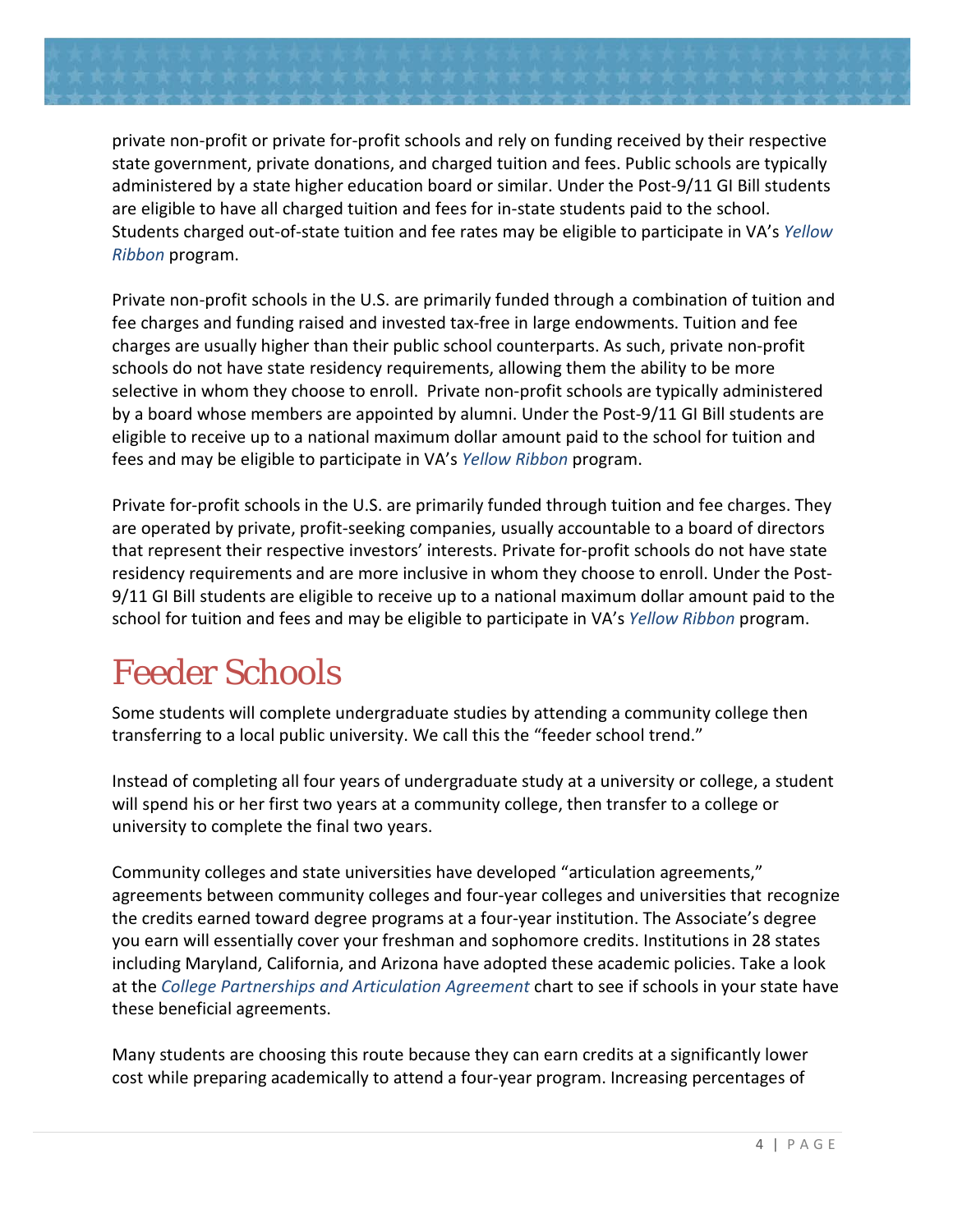

Private non-profit schools in the U.S. are primarily funded through a combination of tuition and fee charges and funding raised and invested tax-free in large endowments. Tuition and fee charges are usually higher than their public school counterparts. As such, private non-profit schools do not have state residency requirements, allowing them the ability to be more selective in whom they choose to enroll. Private non-profit schools are typically administered by a board whose members are appointed by alumni. Under the Post-9/11 GI Bill students are eligible to receive up to a national maximum dollar amount paid to the school for tuition and fees and may be eligible to participate in VA's *[Yellow Ribbon](http://www.benefits.va.gov/gibill/yellow_ribbon.asp)* program.

Private for-profit schools in the U.S. are primarily funded through tuition and fee charges. They are operated by private, profit-seeking companies, usually accountable to a board of directors that represent their respective investors' interests. Private for-profit schools do not have state residency requirements and are more inclusive in whom they choose to enroll. Under the Post-9/11 GI Bill students are eligible to receive up to a national maximum dollar amount paid to the school for tuition and fees and may be eligible to participate in VA's *[Yellow Ribbon](http://www.benefits.va.gov/gibill/yellow_ribbon.asp)* program.

## <span id="page-5-0"></span>Feeder Schools

Some students will complete undergraduate studies by attending a community college then transferring to a local public university. We call this the "feeder school trend."

Instead of completing all four years of undergraduate study at a university or college, a student will spend his or her first two years at a community college, then transfer to a college or university to complete the final two years.

Community colleges and state universities have developed "articulation agreements," agreements between community colleges and four-year colleges and universities that recognize the credits earned toward degree programs at a four-year institution. The Associate's degree you earn will essentially cover your freshman and sophomore credits. Institutions in 28 states including Maryland, California, and Arizona have adopted these academic policies. Take a look at the *[College Partnerships and Articulation Agreement](http://www.finaid.org/otheraid/partnerships.phtml)* chart to see if schools in your state have these beneficial agreements.

Many students are choosing this route because they can earn credits at a significantly lower cost while preparing academically to attend a four-year program. Increasing percentages of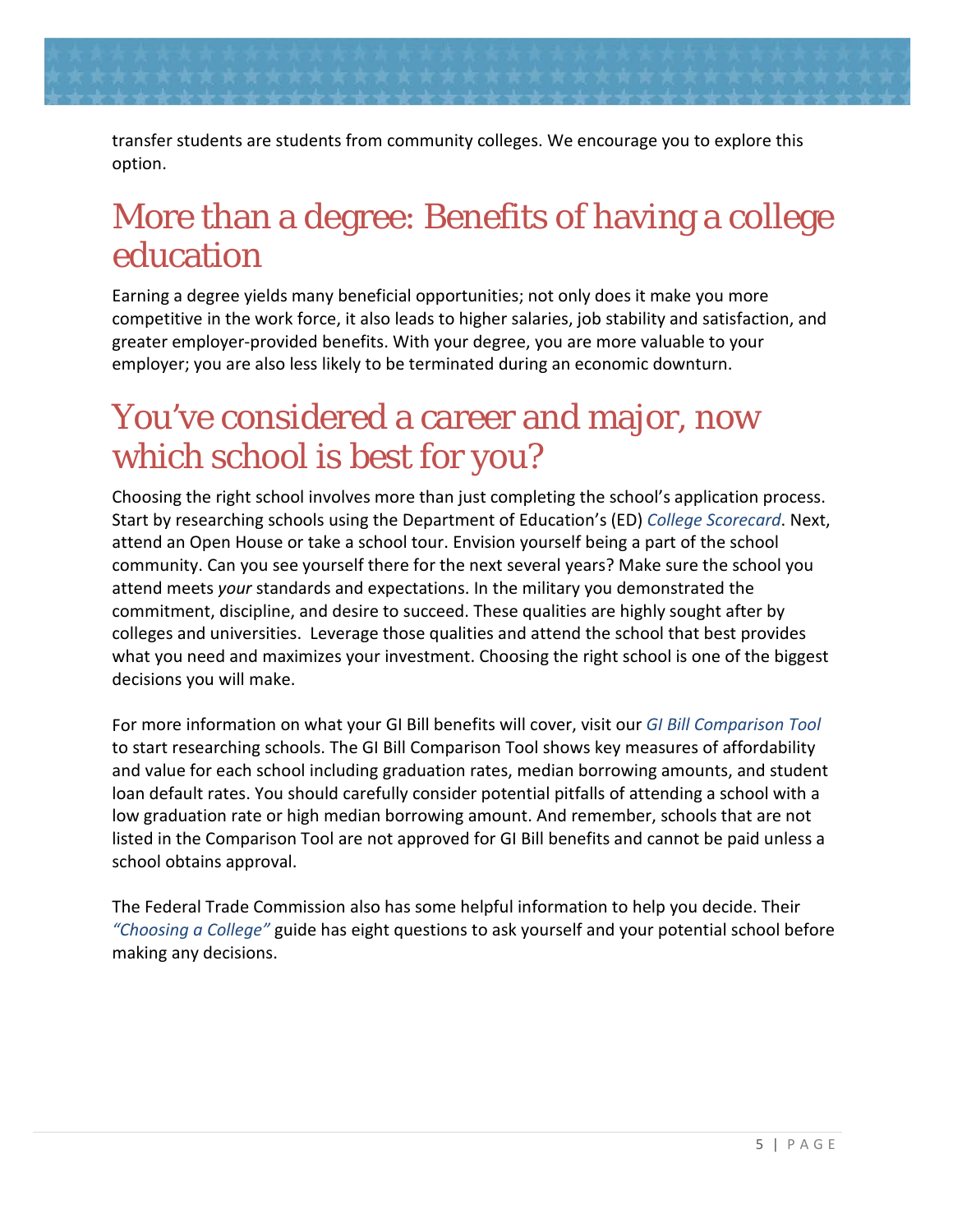

### <span id="page-6-0"></span>More than a degree: Benefits of having a college education

Earning a degree yields many beneficial opportunities; not only does it make you more competitive in the work force, it also leads to higher salaries, job stability and satisfaction, and greater employer-provided benefits. With your degree, you are more valuable to your employer; you are also less likely to be terminated during an economic downturn.

### <span id="page-6-1"></span>You've considered a career and major, now which school is best for you?

Choosing the right school involves more than just completing the school's application process. Start by researching schools using the Department of Education's (ED) *[College Scorecard](https://collegescorecard.ed.gov/)*. Next, attend an Open House or take a school tour. Envision yourself being a part of the school community. Can you see yourself there for the next several years? Make sure the school you attend meets *your* standards and expectations. In the military you demonstrated the commitment, discipline, and desire to succeed. These qualities are highly sought after by colleges and universities. Leverage those qualities and attend the school that best provides what you need and maximizes your investment. Choosing the right school is one of the biggest decisions you will make.

For more information on what your GI Bill benefits will cover, visit our *[GI Bill Comparison Tool](http://www.benefits.va.gov/gibill/comparison)* to start researching schools. The GI Bill Comparison Tool shows key measures of affordability and value for each school including graduation rates, median borrowing amounts, and student loan default rates. You should carefully consider potential pitfalls of attending a school with a low graduation rate or high median borrowing amount. And remember, schools that are not listed in the Comparison Tool are not approved for GI Bill benefits and cannot be paid unless a school obtains approval.

The Federal Trade Commission also has some helpful information to help you decide. Their *["Choosing a College"](http://www.consumer.ftc.gov/articles/0395-choosing-college-questions-ask)* guide has eight questions to ask yourself and your potential school before making any decisions.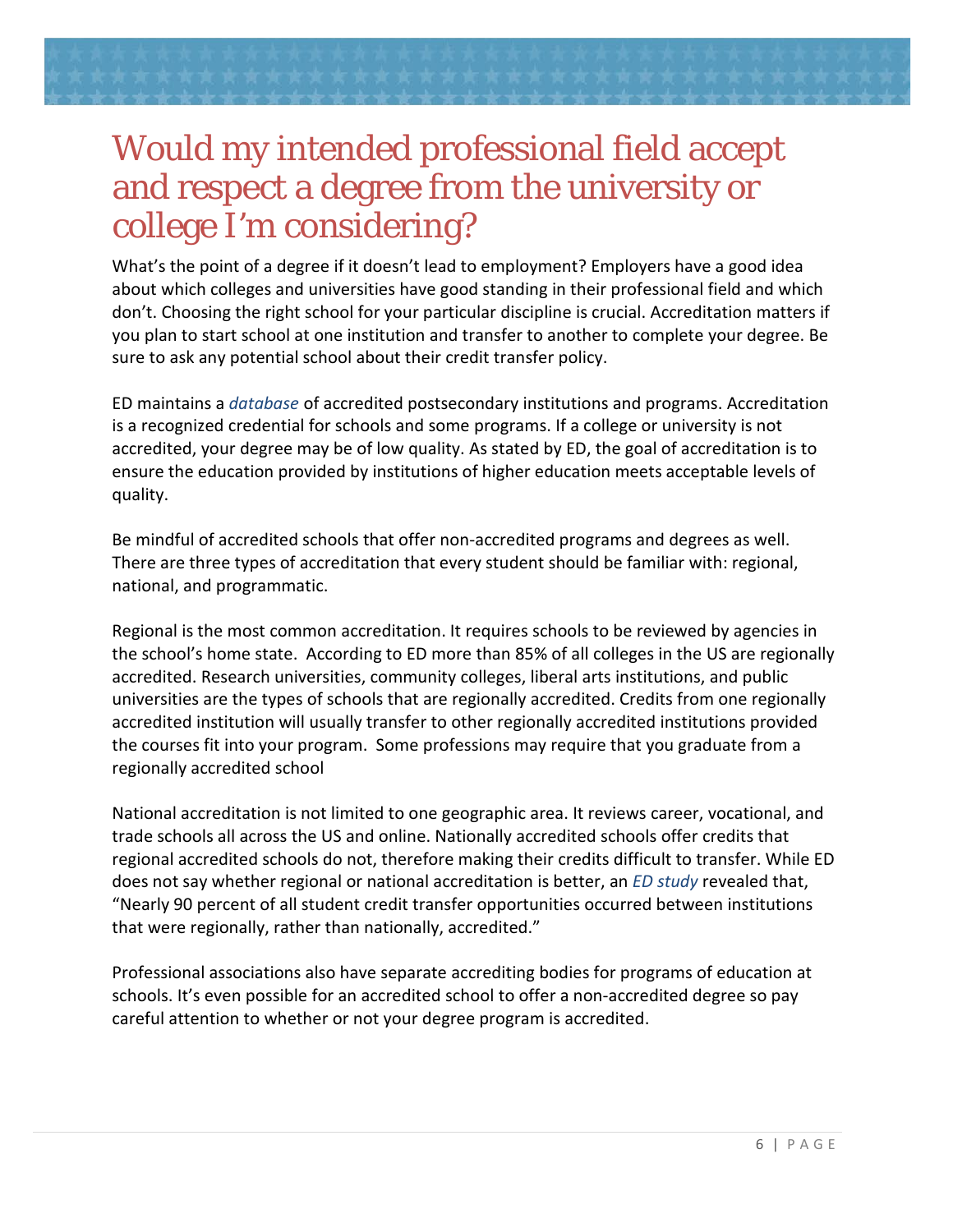# <span id="page-7-0"></span>Would my intended professional field accept and respect a degree from the university or college I'm considering?

What's the point of a degree if it doesn't lead to employment? Employers have a good idea about which colleges and universities have good standing in their professional field and which don't. Choosing the right school for your particular discipline is crucial. Accreditation matters if you plan to start school at one institution and transfer to another to complete your degree. Be sure to ask any potential school about their credit transfer policy.

ED maintains a *[database](http://ope.ed.gov/accreditation/)* of accredited postsecondary institutions and programs. Accreditation is a recognized credential for schools and some programs. If a college or university is not accredited, your degree may be of low quality. As stated by ED, the goal of accreditation is to ensure the education provided by institutions of higher education meets acceptable levels of quality.

Be mindful of accredited schools that offer non-accredited programs and degrees as well. There are three types of accreditation that every student should be familiar with: regional, national, and programmatic.

Regional is the most common accreditation. It requires schools to be reviewed by agencies in the school's home state. According to ED more than 85% of all colleges in the US are regionally accredited. Research universities, community colleges, liberal arts institutions, and public universities are the types of schools that are regionally accredited. Credits from one regionally accredited institution will usually transfer to other regionally accredited institutions provided the courses fit into your program. Some professions may require that you graduate from a regionally accredited school

National accreditation is not limited to one geographic area. It reviews career, vocational, and trade schools all across the US and online. Nationally accredited schools offer credits that regional accredited schools do not, therefore making their credits difficult to transfer. While ED does not say whether regional or national accreditation is better, an *[ED study](http://nces.ed.gov/pubs2014/2014163.pdf)* revealed that, "Nearly 90 percent of all student credit transfer opportunities occurred between institutions that were regionally, rather than nationally, accredited."

Professional associations also have separate accrediting bodies for programs of education at schools. It's even possible for an accredited school to offer a non-accredited degree so pay careful attention to whether or not your degree program is accredited.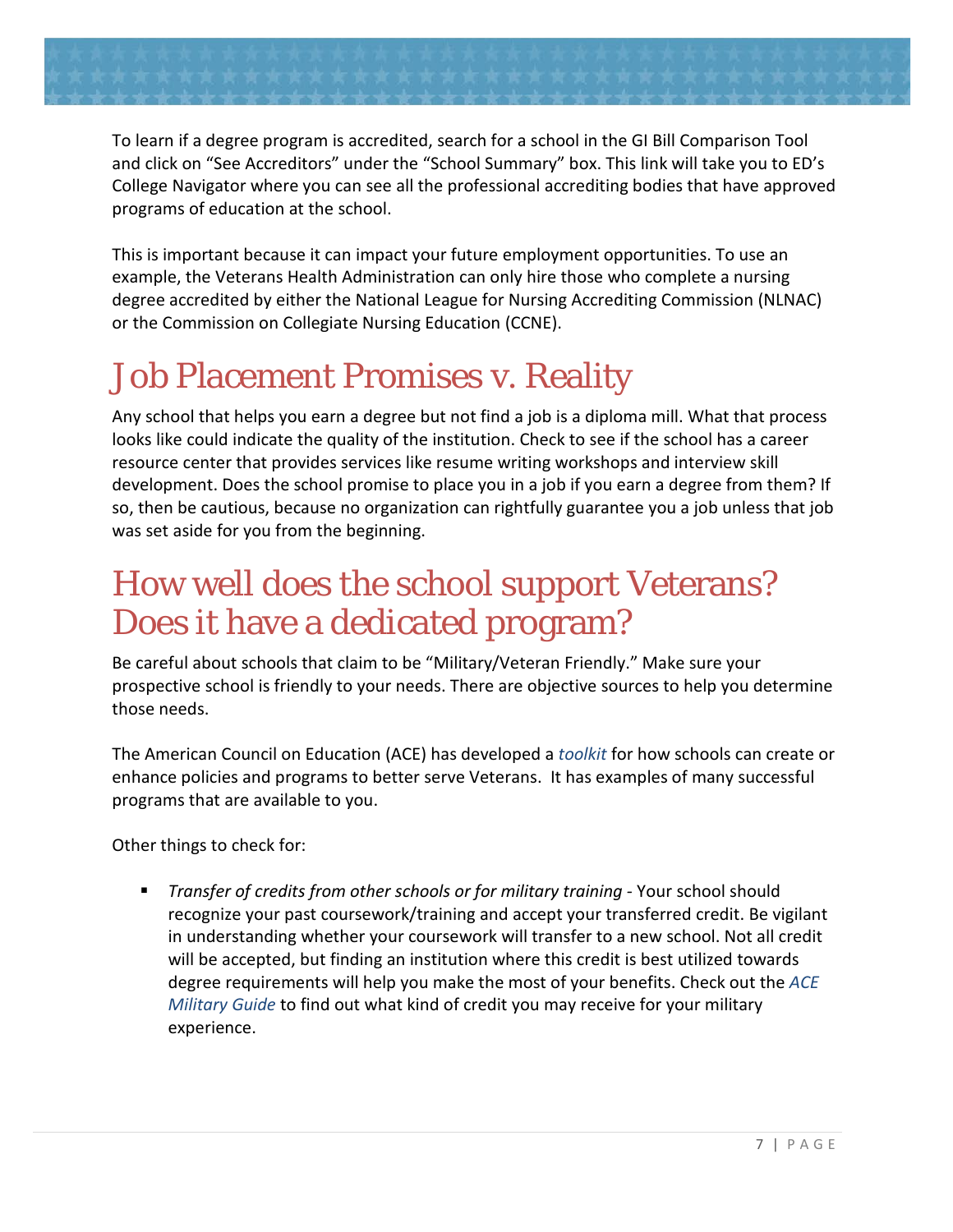

To learn if a degree program is accredited, search for a school in the GI Bill Comparison Tool and click on "See Accreditors" under the "School Summary" box. This link will take you to ED's College Navigator where you can see all the professional accrediting bodies that have approved programs of education at the school.

This is important because it can impact your future employment opportunities. To use an example, the Veterans Health Administration can only hire those who complete a nursing degree accredited by either the National League for Nursing Accrediting Commission (NLNAC) or the Commission on Collegiate Nursing Education (CCNE).

# <span id="page-8-0"></span>Job Placement Promises v. Reality

Any school that helps you earn a degree but not find a job is a diploma mill. What that process looks like could indicate the quality of the institution. Check to see if the school has a career resource center that provides services like resume writing workshops and interview skill development. Does the school promise to place you in a job if you earn a degree from them? If so, then be cautious, because no organization can rightfully guarantee you a job unless that job was set aside for you from the beginning.

## <span id="page-8-1"></span>How well does the school support Veterans? Does it have a dedicated program?

Be careful about schools that claim to be "Military/Veteran Friendly." Make sure your prospective school is friendly to your needs. There are objective sources to help you determine those needs.

The American Council on Education (ACE) has developed a *[toolkit](http://vetfriendlytoolkit.org/)* for how schools can create or enhance policies and programs to better serve Veterans. It has examples of many successful programs that are available to you.

Other things to check for:

 *Transfer of credits from other schools or for military training -* Your school should recognize your past coursework/training and accept your transferred credit. Be vigilant in understanding whether your coursework will transfer to a new school. Not all credit will be accepted, but finding an institution where this credit is best utilized towards degree requirements will help you make the most of your benefits. Check out the *[ACE](http://www.acenet.edu/news-room/Pages/Military-Guide-Online.aspx) [Military Guide](http://www.acenet.edu/news-room/Pages/Military-Guide-Online.aspx)* to find out what kind of credit you may receive for your military experience.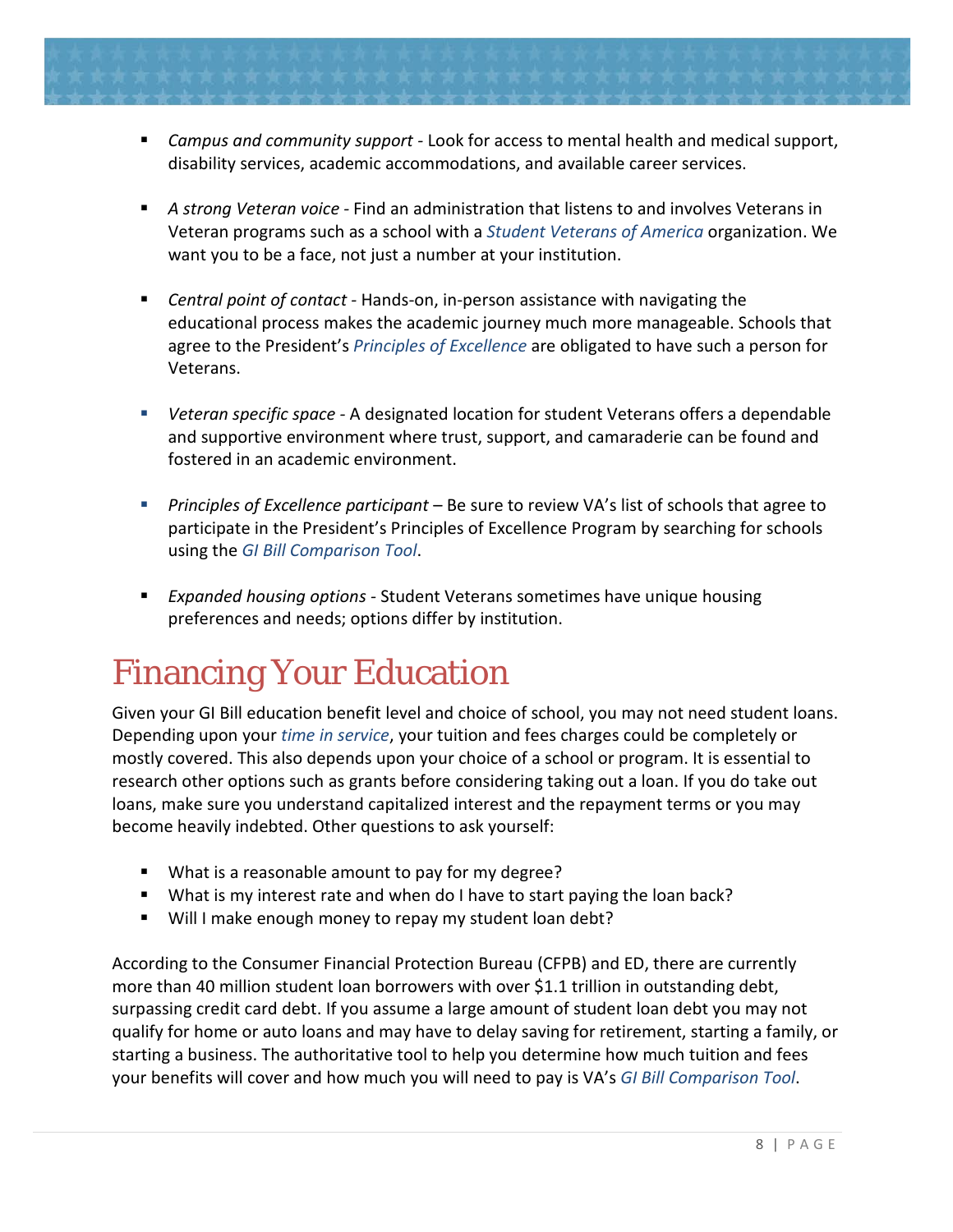- *Campus and community support* Look for access to mental health and medical support, disability services, academic accommodations, and available career services.
- *A strong Veteran voice* Find an administration that listens to and involves Veterans in Veteran programs such as a school with a *[Student Veterans of America](http://studentveterans.org/)* organization. We want you to be a face, not just a number at your institution.
- *Central point of contact* Hands-on, in-person assistance with navigating the educational process makes the academic journey much more manageable. Schools that agree to the President's *[Principles of Excellence](http://www.benefits.va.gov/gibill/principles_of_excellence.asp)* are obligated to have such a person for Veterans.
- *Veteran specific space* A designated location for student Veterans offers a dependable and supportive environment where trust, support, and camaraderie can be found and fostered in an academic environment.
- *Principles of Excellence participant* Be sure to review VA's list of schools that agree to participate in the President's Principles of Excellence Program by searching for schools using the *[GI Bill Comparison Tool](http://www.benefits.va.gov/gibill/comparison)*.
- *Expanded housing options* Student Veterans sometimes have unique housing preferences and needs; options differ by institution.

# <span id="page-9-0"></span>Financing Your Education

Given your GI Bill education benefit level and choice of school, you may not need student loans. Depending upon your *[time in service](https://gibill.custhelp.com/app/answers/detail/a_id/947/kw/percentage)*, your tuition and fees charges could be completely or mostly covered. This also depends upon your choice of a school or program. It is essential to research other options such as grants before considering taking out a loan. If you do take out loans, make sure you understand capitalized interest and the repayment terms or you may become heavily indebted. Other questions to ask yourself:

- What is a reasonable amount to pay for my degree?
- What is my interest rate and when do I have to start paying the loan back?
- Will I make enough money to repay my student loan debt?

According to the Consumer Financial Protection Bureau (CFPB) and ED, there are currently more than 40 million student loan borrowers with over \$1.1 trillion in outstanding debt, surpassing credit card debt. If you assume a large amount of student loan debt you may not qualify for home or auto loans and may have to delay saving for retirement, starting a family, or starting a business. The authoritative tool to help you determine how much tuition and fees your benefits will cover and how much you will need to pay is VA's *[GI Bill Comparison Tool](http://www.benefits.va.gov/gibill/comparison)*.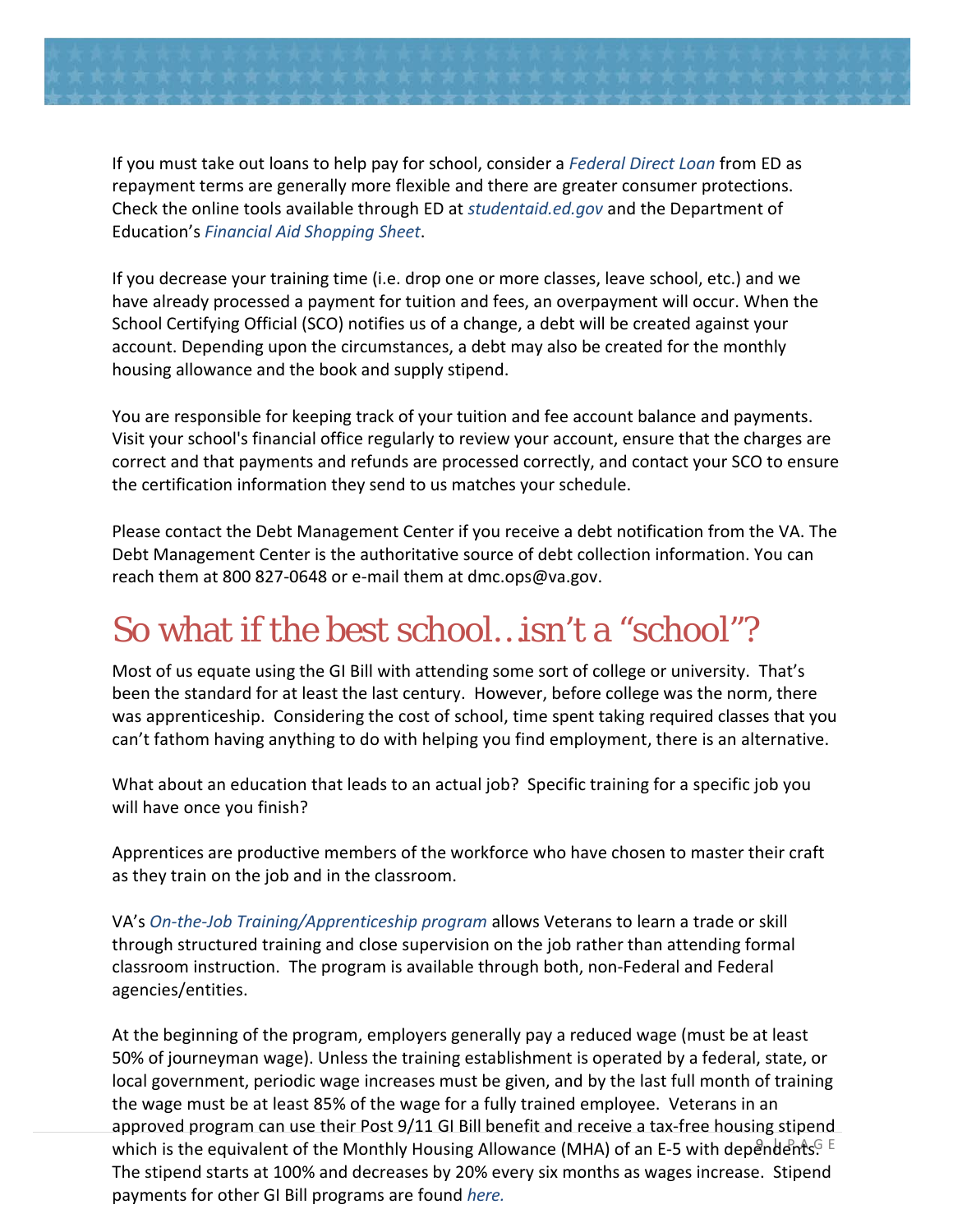

If you must take out loans to help pay for school, consider a *[Federal Direct Loan](http://www.direct.ed.gov/)* from ED as repayment terms are generally more flexible and there are greater consumer protections. Check the online tools available through ED at *[studentaid.ed.gov](http://www.studentaid.ed.gov/)* and the Department of Education's *[Financial Aid Shopping Sheet](http://www2.ed.gov/policy/highered/guid/aid-offer/index.html)*.

<span id="page-10-0"></span>If you decrease your training time (i.e. drop one or more classes, leave school, etc.) and we have already processed a payment for tuition and fees, an overpayment will occur. When the School Certifying Official (SCO) notifies us of a change, a debt will be created against your account. Depending upon the circumstances, a debt may also be created for the monthly housing allowance and the book and supply stipend.

You are responsible for keeping track of your tuition and fee account balance and payments. Visit your school's financial office regularly to review your account, ensure that the charges are correct and that payments and refunds are processed correctly, and contact your SCO to ensure the certification information they send to us matches your schedule.

Please contact the Debt Management Center if you receive a debt notification from the VA. The Debt Management Center is the authoritative source of debt collection information. You can reach them at 800 827-0648 or e-mail them at dmc.ops@va.gov.

# So what if the best school…isn't a "school"?

Most of us equate using the GI Bill with attending some sort of college or university. That's been the standard for at least the last century. However, before college was the norm, there was apprenticeship. Considering the cost of school, time spent taking required classes that you can't fathom having anything to do with helping you find employment, there is an alternative.

What about an education that leads to an actual job? Specific training for a specific job you will have once you finish?

Apprentices are productive members of the workforce who have chosen to master their craft as they train on the job and in the classroom.

VA's *[On-the-Job Training/Apprenticeship program](http://www.benefits.va.gov/gibill/onthejob_apprenticeship.asp)* allows Veterans to learn a trade or skill through structured training and close supervision on the job rather than attending formal classroom instruction. The program is available through both, non-Federal and Federal agencies/entities.

which is the equivalent of the Monthly Housing Allowance (MHA) of an E-5 with dependents. E At the beginning of the program, employers generally pay a reduced wage (must be at least 50% of journeyman wage). Unless the training establishment is operated by a federal, state, or local government, periodic wage increases must be given, and by the last full month of training the wage must be at least 85% of the wage for a fully trained employee. Veterans in an approved program can use their Post 9/11 GI Bill benefit and receive a tax-free housing stipend The stipend starts at 100% and decreases by 20% every six months as wages increase. Stipend payments for other GI Bill programs are found *[here.](http://www.benefits.va.gov/gibill/resources/benefits_resources/rate_tables.asp)*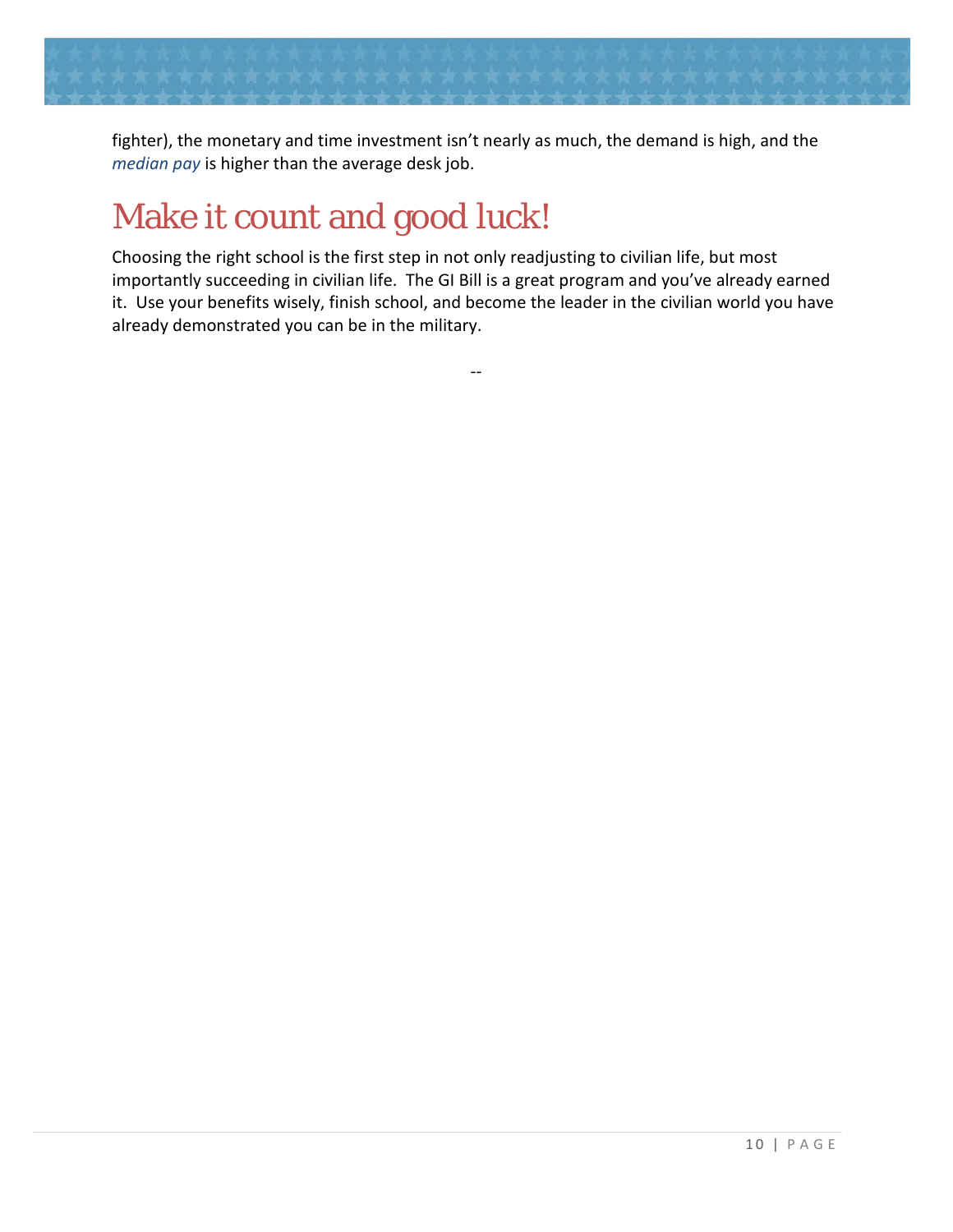

fighter), the monetary and time investment isn't nearly as much, the demand is high, and the *[median pay](http://www.bls.gov/oes/current/oes_nat.htm#49-0000)* is higher than the average desk job.

# <span id="page-11-0"></span>Make it count and good luck!

Choosing the right school is the first step in not only readjusting to civilian life, but most importantly succeeding in civilian life. The GI Bill is a great program and you've already earned it. Use your benefits wisely, finish school, and become the leader in the civilian world you have already demonstrated you can be in the military.

--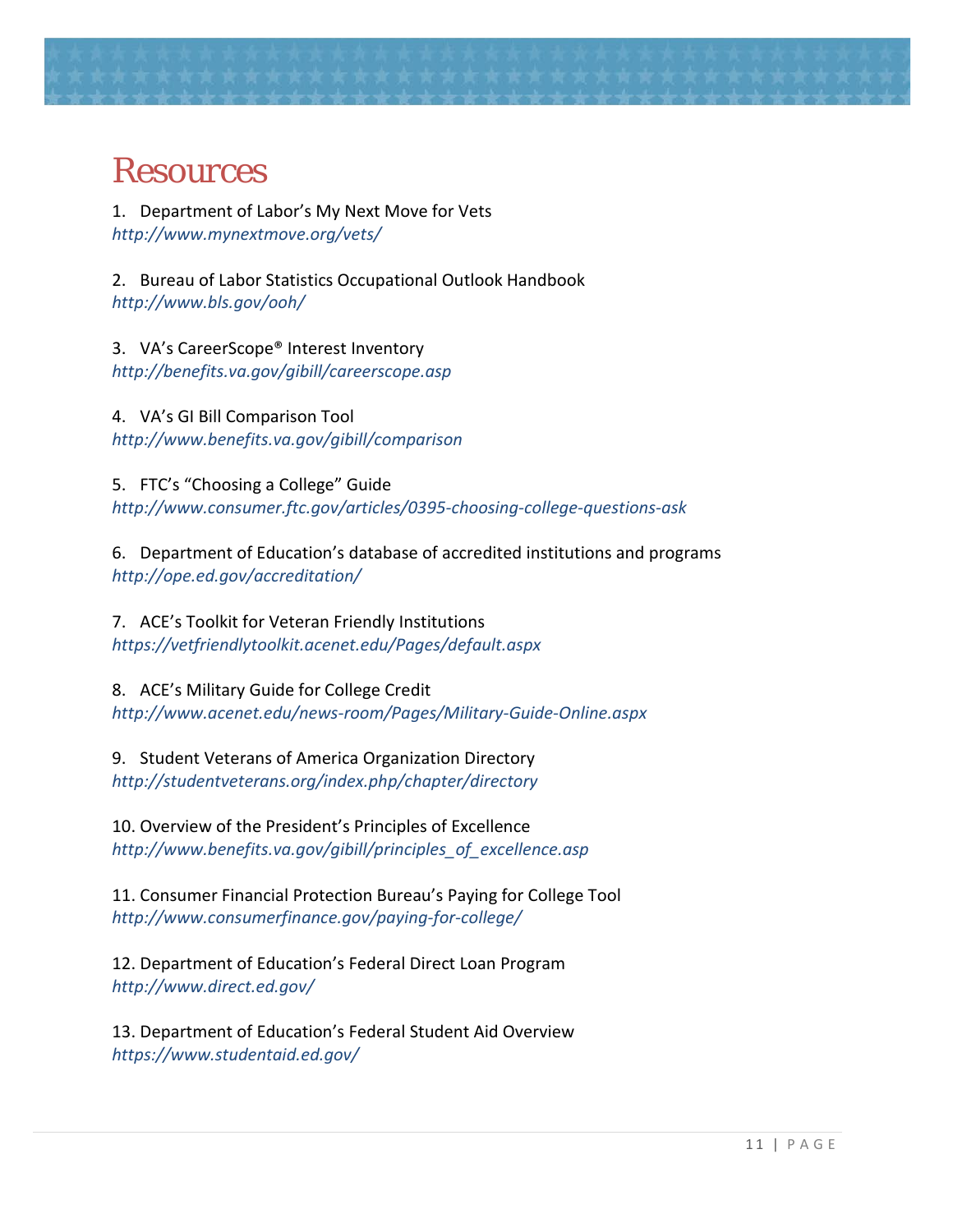

#### <span id="page-12-0"></span>Resources

1. Department of Labor's My Next Move for Vets *<http://www.mynextmove.org/vets/>*

2. Bureau of Labor Statistics Occupational Outlook Handbook *<http://www.bls.gov/ooh/>*

3. VA's CareerScope® Interest Inventory *<http://benefits.va.gov/gibill/careerscope.asp>*

4. VA's GI Bill Comparison Tool *<http://www.benefits.va.gov/gibill/comparison>*

5. FTC's "Choosing a College" Guide *http://www.consumer.ftc.gov/articles/0395-choosing-college-questions-ask*

6. Department of Education's database of accredited institutions and programs *http://ope.ed.gov/accreditation/*

7. ACE's Toolkit for Veteran Friendly Institutions *<https://vetfriendlytoolkit.acenet.edu/Pages/default.aspx>*

8. ACE's Military Guide for College Credit *<http://www.acenet.edu/news-room/Pages/Military-Guide-Online.aspx>*

9. Student Veterans of America Organization Directory *<http://studentveterans.org/index.php/chapter/directory>*

10. Overview of the President's Principles of Excellence *[http://www.benefits.va.gov/gibill/principles\\_of\\_excellence.asp](http://www.benefits.va.gov/gibill/principles_of_excellence.asp)*

11. Consumer Financial Protection Bureau's Paying for College Tool *<http://www.consumerfinance.gov/paying-for-college/>*

12. Department of Education's Federal Direct Loan Program *<http://www.direct.ed.gov/>*

13. Department of Education's Federal Student Aid Overview *<https://www.studentaid.ed.gov/>*